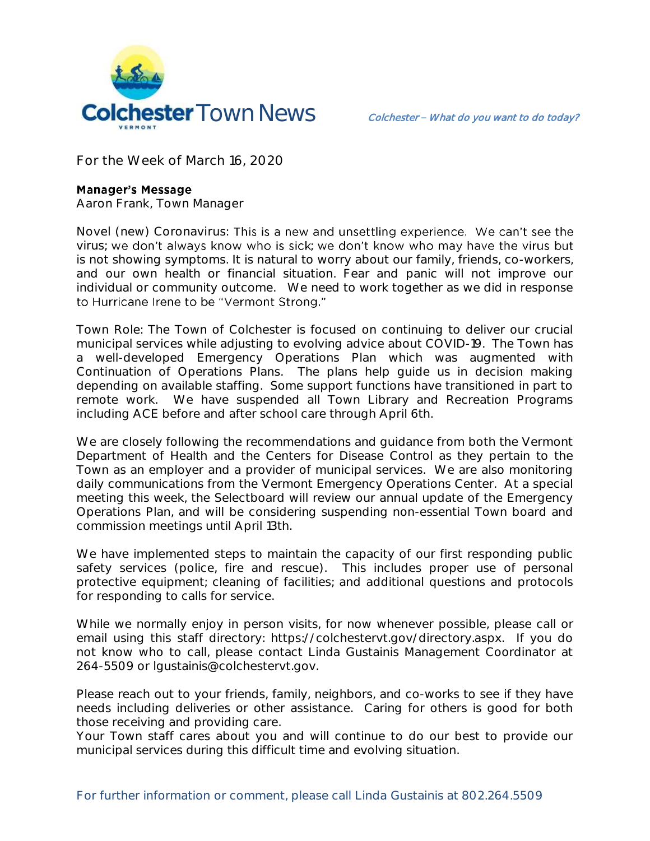

**For the Week of March 16, 2020**

## **Manager's Message**

**Aaron Frank, Town Manager**

**Novel (new) Coronavirus:**  virus; we don't always know who is sick; we don't know who may have the virus but is not showing symptoms. It is natural to worry about our family, friends, co-workers, and our own health or financial situation. Fear and panic will not improve our individual or community outcome. We need to work together as we did in response to Hurricane Irene to be "Vermont Strong."

Town Role: The Town of Colchester is focused on continuing to deliver our crucial municipal services while adjusting to evolving advice about COVID-19. The Town has a well-developed Emergency Operations Plan which was augmented with Continuation of Operations Plans. The plans help guide us in decision making depending on available staffing. Some support functions have transitioned in part to remote work. We have suspended all Town Library and Recreation Programs including ACE before and after school care through April 6th.

We are closely following the recommendations and guidance from both the Vermont Department of Health and the Centers for Disease Control as they pertain to the Town as an employer and a provider of municipal services. We are also monitoring daily communications from the Vermont Emergency Operations Center. At a special meeting this week, the Selectboard will review our annual update of the Emergency Operations Plan, and will be considering suspending non-essential Town board and commission meetings until April 13th.

We have implemented steps to maintain the capacity of our first responding public safety services (police, fire and rescue). This includes proper use of personal protective equipment; cleaning of facilities; and additional questions and protocols for responding to calls for service.

While we normally enjoy in person visits, for now whenever possible, please call or email using this staff directory: https://colchestervt.gov/directory.aspx. If you do not know who to call, please contact Linda Gustainis Management Coordinator at 264-5509 or lgustainis@colchestervt.gov.

Please reach out to your friends, family, neighbors, and co-works to see if they have needs including deliveries or other assistance. Caring for others is good for both those receiving and providing care.

Your Town staff cares about you and will continue to do our best to provide our municipal services during this difficult time and evolving situation.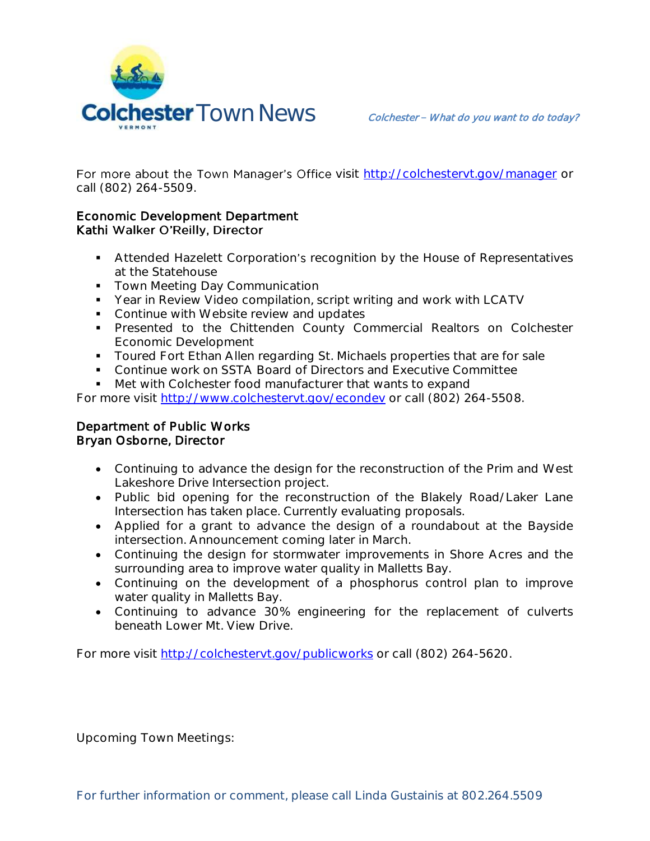

For more about the Town Manager's Office visit http://colchesteryt.gov/manager or call (802) 264-5509.

## Economic Development Department Kathi Walker O'Reilly, Director

- Attended Hazelett Corporation's recognition by the House of Representatives at the Statehouse
- **Town Meeting Day Communication**
- Year in Review Video compilation, script writing and work with LCATV
- Continue with Website review and updates
- **Presented to the Chittenden County Commercial Realtors on Colchester** Economic Development
- **Toured Fort Ethan Allen regarding St. Michaels properties that are for sale**
- Continue work on SSTA Board of Directors and Executive Committee
- Met with Colchester food manufacturer that wants to expand

For more visit [http://www.colchestervt.gov/e](http://www.colchestervt.gov/)condev or call (802) 264-5508.

## Department of Public Works Bryan Osborne, Director

- Continuing to advance the design for the reconstruction of the Prim and West Lakeshore Drive Intersection project.
- Public bid opening for the reconstruction of the Blakely Road/Laker Lane Intersection has taken place. Currently evaluating proposals.
- Applied for a grant to advance the design of a roundabout at the Bayside intersection. Announcement coming later in March.
- Continuing the design for stormwater improvements in Shore Acres and the surrounding area to improve water quality in Malletts Bay.
- Continuing on the development of a phosphorus control plan to improve water quality in Malletts Bay.
- Continuing to advance 30% engineering for the replacement of culverts beneath Lower Mt. View Drive.

For more visit<http://colchestervt.gov/publicworks> or call (802) 264-5620.

**Upcoming Town Meetings:**